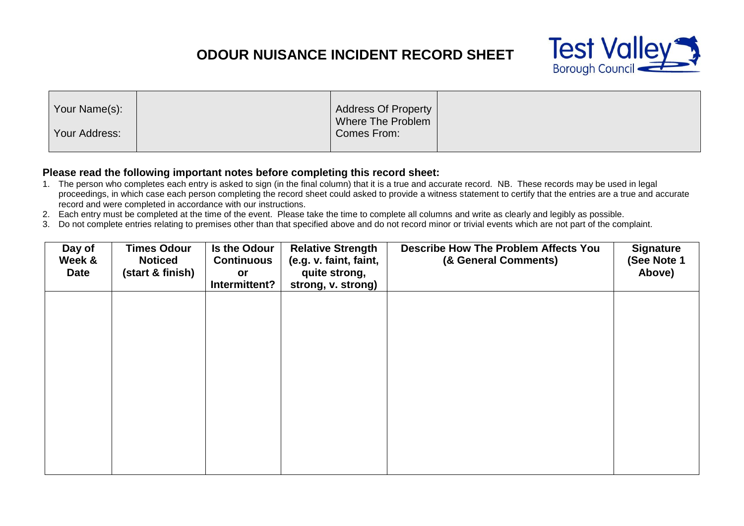## **ODOUR NUISANCE INCIDENT RECORD SHEET**



| Your Name(s): | <b>Address Of Property</b><br>Where The Problem |  |
|---------------|-------------------------------------------------|--|
| Your Address: | Comes From:                                     |  |

## **Please read the following important notes before completing this record sheet:**

- 1. The person who completes each entry is asked to sign (in the final column) that it is a true and accurate record. NB. These records may be used in legal proceedings, in which case each person completing the record sheet could asked to provide a witness statement to certify that the entries are a true and accurate record and were completed in accordance with our instructions.
- 2. Each entry must be completed at the time of the event. Please take the time to complete all columns and write as clearly and legibly as possible.
- 3. Do not complete entries relating to premises other than that specified above and do not record minor or trivial events which are not part of the complaint.

| Day of<br>Week &<br><b>Date</b> | <b>Times Odour</b><br><b>Noticed</b><br>(start & finish) | Is the Odour<br><b>Continuous</b><br>or<br>Intermittent? | <b>Relative Strength</b><br>(e.g. v. faint, faint,<br>quite strong,<br>strong, v. strong) | <b>Describe How The Problem Affects You</b><br>(& General Comments) | <b>Signature</b><br>(See Note 1<br>Above) |
|---------------------------------|----------------------------------------------------------|----------------------------------------------------------|-------------------------------------------------------------------------------------------|---------------------------------------------------------------------|-------------------------------------------|
|                                 |                                                          |                                                          |                                                                                           |                                                                     |                                           |
|                                 |                                                          |                                                          |                                                                                           |                                                                     |                                           |
|                                 |                                                          |                                                          |                                                                                           |                                                                     |                                           |
|                                 |                                                          |                                                          |                                                                                           |                                                                     |                                           |